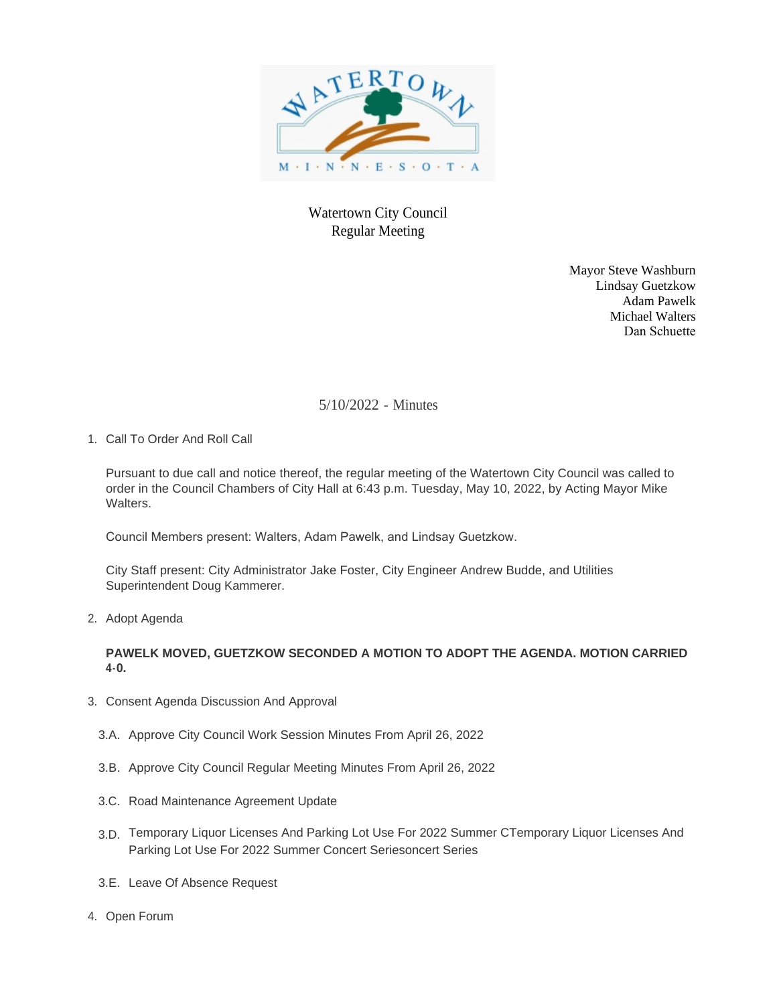

## Watertown City Council Regular Meeting

Mayor Steve Washburn Lindsay Guetzkow Adam Pawelk Michael Walters Dan Schuette

5/10/2022 - Minutes

1. Call To Order And Roll Call

Pursuant to due call and notice thereof, the regular meeting of the Watertown City Council was called to order in the Council Chambers of City Hall at 6:43 p.m. Tuesday, May 10, 2022, by Acting Mayor Mike Walters

Council Members present: Walters, Adam Pawelk, and Lindsay Guetzkow.

City Staff present: City Administrator Jake Foster, City Engineer Andrew Budde, and Utilities Superintendent Doug Kammerer.

2. Adopt Agenda

## **PAWELK MOVED, GUETZKOW SECONDED A MOTION TO ADOPT THE AGENDA. MOTION CARRIED 4-0.**

- 3. Consent Agenda Discussion And Approval
	- 3.A. Approve City Council Work Session Minutes From April 26, 2022
	- 3.B. Approve City Council Regular Meeting Minutes From April 26, 2022
	- 3.C. Road Maintenance Agreement Update
	- 3.D. Temporary Liquor Licenses And Parking Lot Use For 2022 Summer CTemporary Liquor Licenses And Parking Lot Use For 2022 Summer Concert Seriesoncert Series
	- 3.E. Leave Of Absence Request
- 4. Open Forum